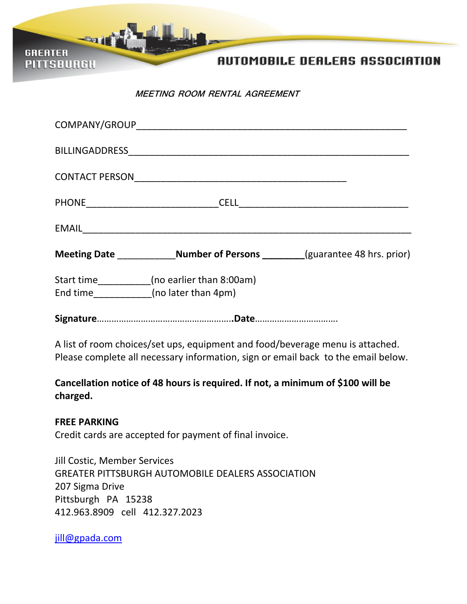**AUTOMOBILE DEALERS ASSOCIATION** 

**MEETING ROOM RENTAL AGREEMENT**

| COMPANY/GROUP COMPANY/GROUP                                                                                                                                        |
|--------------------------------------------------------------------------------------------------------------------------------------------------------------------|
|                                                                                                                                                                    |
|                                                                                                                                                                    |
|                                                                                                                                                                    |
|                                                                                                                                                                    |
| Meeting Date _______________Number of Persons ________(guarantee 48 hrs. prior)                                                                                    |
| Start time__________(no earlier than 8:00am)<br>End time____________(no later than 4pm)                                                                            |
|                                                                                                                                                                    |
| A list of room choices/set ups, equipment and food/beverage menu is attached.<br>Please complete all necessary information, sign or email back to the email below. |
| Cancellation notice of 48 hours is required. If not, a minimum of \$100 will be<br>charged.                                                                        |
| <b>FREE PARKING</b><br>Credit cards are accepted for payment of final invoice.                                                                                     |
| <b>Jill Costic, Member Services</b><br><b>GREATER PITTSBURGH AUTOMOBILE DEALERS ASSOCIATION</b><br>207 Sigma Drive<br>Pittsburgh PA 15238                          |

412.963.8909 cell 412.327.2023

[jill@gpada.com](mailto:jcostic@pittsburghauto.org)

**GREATER** 

**PITTSBURGH**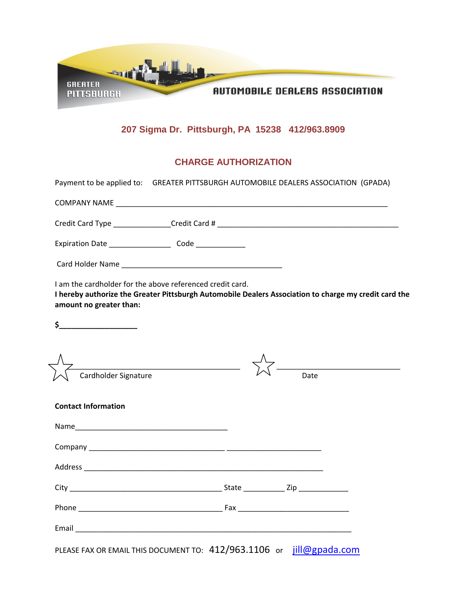

## **207 Sigma Dr. Pittsburgh, PA 15238 412/963.8909**

## **CHARGE AUTHORIZATION**

| Payment to be applied to: GREATER PITTSBURGH AUTOMOBILE DEALERS ASSOCIATION (GPADA)                                                                                                           |  |  |  |
|-----------------------------------------------------------------------------------------------------------------------------------------------------------------------------------------------|--|--|--|
|                                                                                                                                                                                               |  |  |  |
|                                                                                                                                                                                               |  |  |  |
|                                                                                                                                                                                               |  |  |  |
|                                                                                                                                                                                               |  |  |  |
| I am the cardholder for the above referenced credit card.<br>I hereby authorize the Greater Pittsburgh Automobile Dealers Association to charge my credit card the<br>amount no greater than: |  |  |  |
| $\frac{1}{2}$                                                                                                                                                                                 |  |  |  |
| Cardholder Signature                                                                                                                                                                          |  |  |  |
|                                                                                                                                                                                               |  |  |  |
| <b>Contact Information</b>                                                                                                                                                                    |  |  |  |
|                                                                                                                                                                                               |  |  |  |
|                                                                                                                                                                                               |  |  |  |
|                                                                                                                                                                                               |  |  |  |
|                                                                                                                                                                                               |  |  |  |
|                                                                                                                                                                                               |  |  |  |
|                                                                                                                                                                                               |  |  |  |
| PLEASE FAX OR EMAIL THIS DOCUMENT TO: 412/963.1106 or jill@gpada.com                                                                                                                          |  |  |  |